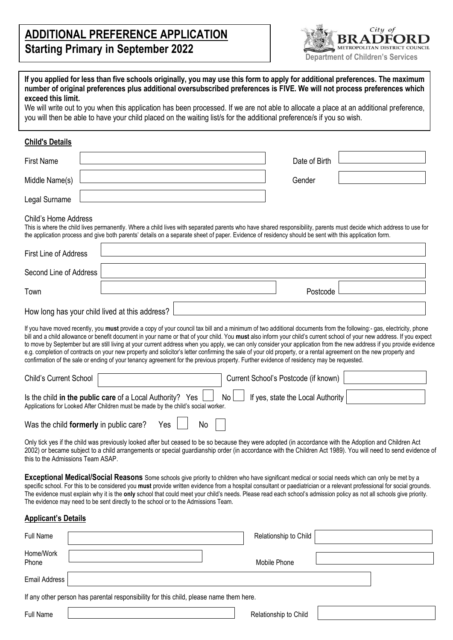# **ADDITIONAL PREFERENCE APPLICATION Starting Primary in September 2022**



| If you applied for less than five schools originally, you may use this form to apply for additional preferences. The maximum |  |
|------------------------------------------------------------------------------------------------------------------------------|--|
| number of original preferences plus additional oversubscribed preferences is FIVE. We will not process preferences which     |  |
| exceed this limit.                                                                                                           |  |

We will write out to you when this application has been processed. If we are not able to allocate a place at an additional preference, you will then be able to have your child placed on the waiting list/s for the additional preference/s if you so wish.

### **Child's Details**

| <b>First Name</b>                                                                                                                                                                                                                                                                                                                                                                                                                                                                                                                                                                                                                                                                                                                                                                                                                    | Date of Birth                        |
|--------------------------------------------------------------------------------------------------------------------------------------------------------------------------------------------------------------------------------------------------------------------------------------------------------------------------------------------------------------------------------------------------------------------------------------------------------------------------------------------------------------------------------------------------------------------------------------------------------------------------------------------------------------------------------------------------------------------------------------------------------------------------------------------------------------------------------------|--------------------------------------|
| Middle Name(s)                                                                                                                                                                                                                                                                                                                                                                                                                                                                                                                                                                                                                                                                                                                                                                                                                       | Gender                               |
| Legal Surname                                                                                                                                                                                                                                                                                                                                                                                                                                                                                                                                                                                                                                                                                                                                                                                                                        |                                      |
| Child's Home Address<br>This is where the child lives permanently. Where a child lives with separated parents who have shared responsibility, parents must decide which address to use for<br>the application process and give both parents' details on a separate sheet of paper. Evidence of residency should be sent with this application form.                                                                                                                                                                                                                                                                                                                                                                                                                                                                                  |                                      |
| <b>First Line of Address</b>                                                                                                                                                                                                                                                                                                                                                                                                                                                                                                                                                                                                                                                                                                                                                                                                         |                                      |
| Second Line of Address                                                                                                                                                                                                                                                                                                                                                                                                                                                                                                                                                                                                                                                                                                                                                                                                               |                                      |
| Town                                                                                                                                                                                                                                                                                                                                                                                                                                                                                                                                                                                                                                                                                                                                                                                                                                 | Postcode                             |
| How long has your child lived at this address?                                                                                                                                                                                                                                                                                                                                                                                                                                                                                                                                                                                                                                                                                                                                                                                       |                                      |
| If you have moved recently, you must provide a copy of your council tax bill and a minimum of two additional documents from the following:- gas, electricity, phone<br>bill and a child allowance or benefit document in your name or that of your child. You must also inform your child's current school of your new address. If you expect<br>to move by September but are still living at your current address when you apply, we can only consider your application from the new address if you provide evidence<br>e.g. completion of contracts on your new property and solicitor's letter confirming the sale of your old property, or a rental agreement on the new property and<br>confirmation of the sale or ending of your tenancy agreement for the previous property. Further evidence of residency may be requested. |                                      |
| <b>Child's Current School</b>                                                                                                                                                                                                                                                                                                                                                                                                                                                                                                                                                                                                                                                                                                                                                                                                        | Current School's Postcode (if known) |
| Is the child in the public care of a Local Authority? Yes<br>No.<br>Applications for Looked After Children must be made by the child's social worker.                                                                                                                                                                                                                                                                                                                                                                                                                                                                                                                                                                                                                                                                                | If yes, state the Local Authority    |
| Was the child formerly in public care?<br>Yes<br>No                                                                                                                                                                                                                                                                                                                                                                                                                                                                                                                                                                                                                                                                                                                                                                                  |                                      |

Only tick yes if the child was previously looked after but ceased to be so because they were adopted (in accordance with the Adoption and Children Act 2002) or became subject to a child arrangements or special guardianship order (in accordance with the Children Act 1989). You will need to send evidence of this to the Admissions Team ASAP.

**Exceptional Medical/Social Reasons** Some schools give priority to children who have significant medical or social needs which can only be met by a specific school. For this to be considered you **must** provide written evidence from a hospital consultant or paediatrician or a relevant professional for social grounds. The evidence must explain why it is the **only** school that could meet your child's needs. Please read each school's admission policy as not all schools give priority. The evidence may need to be sent directly to the school or to the Admissions Team.

### **Applicant's Details**

| Full Name                                                                              |  | Relationship to Child |  |  |  |
|----------------------------------------------------------------------------------------|--|-----------------------|--|--|--|
| Home/Work<br>Phone                                                                     |  | Mobile Phone          |  |  |  |
| <b>Email Address</b>                                                                   |  |                       |  |  |  |
| If any other person has parental responsibility for this child, please name them here. |  |                       |  |  |  |
| <b>Full Name</b>                                                                       |  | Relationship to Child |  |  |  |